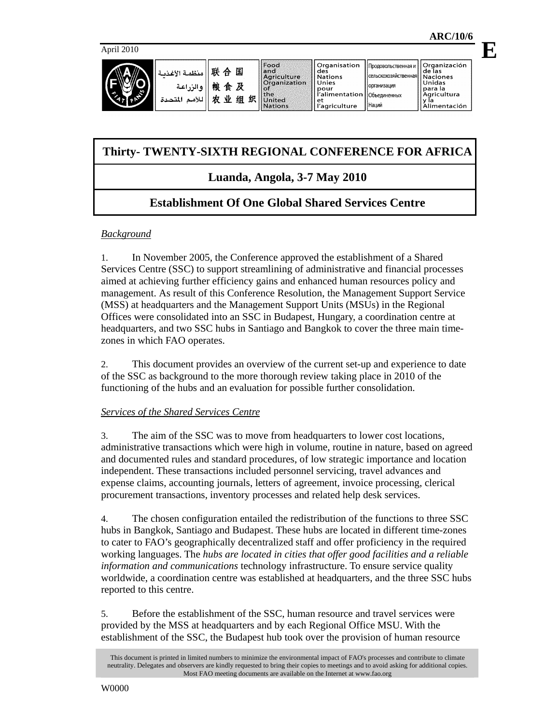**E**

| ≺ | منظمة الأغذبة<br>ه الن اعة<br>اللأمد<br>لمتحدة | 联<br>国<br>. 숨<br>桹<br>及<br>食<br>业<br>织<br>巾<br>组 | Food<br>and<br>Agriculture<br>Organization<br>$\Omega$<br><b>the</b><br>United<br><b>Nations</b> | Organisation<br>ll des<br>ll Nations<br>II Unies<br>ll pour<br>r'alimentation   Объединенных<br>l et<br>'agriculture | Продовольственная и<br>- Сельскохозяйственная   Naciones<br><b>Порганизация</b><br><b>Наций</b> | l Organización<br>l de las<br>l Unidas<br>l para la<br><b>Agricultura</b><br>l v la<br>Alimentación |
|---|------------------------------------------------|--------------------------------------------------|--------------------------------------------------------------------------------------------------|----------------------------------------------------------------------------------------------------------------------|-------------------------------------------------------------------------------------------------|-----------------------------------------------------------------------------------------------------|
|---|------------------------------------------------|--------------------------------------------------|--------------------------------------------------------------------------------------------------|----------------------------------------------------------------------------------------------------------------------|-------------------------------------------------------------------------------------------------|-----------------------------------------------------------------------------------------------------|

# **Thirty- TWENTY-SIXTH REGIONAL CONFERENCE FOR AFRICA**

# **Luanda, Angola, 3-7 May 2010**

# **Establishment Of One Global Shared Services Centre**

## *Background*

1. In November 2005, the Conference approved the establishment of a Shared Services Centre (SSC) to support streamlining of administrative and financial processes aimed at achieving further efficiency gains and enhanced human resources policy and management. As result of this Conference Resolution, the Management Support Service (MSS) at headquarters and the Management Support Units (MSUs) in the Regional Offices were consolidated into an SSC in Budapest, Hungary, a coordination centre at headquarters, and two SSC hubs in Santiago and Bangkok to cover the three main timezones in which FAO operates.

2. This document provides an overview of the current set-up and experience to date of the SSC as background to the more thorough review taking place in 2010 of the functioning of the hubs and an evaluation for possible further consolidation.

## *Services of the Shared Services Centre*

3. The aim of the SSC was to move from headquarters to lower cost locations, administrative transactions which were high in volume, routine in nature, based on agreed and documented rules and standard procedures, of low strategic importance and location independent. These transactions included personnel servicing, travel advances and expense claims, accounting journals, letters of agreement, invoice processing, clerical procurement transactions, inventory processes and related help desk services.

4. The chosen configuration entailed the redistribution of the functions to three SSC hubs in Bangkok, Santiago and Budapest. These hubs are located in different time-zones to cater to FAO's geographically decentralized staff and offer proficiency in the required working languages. The *hubs are located in cities that offer good facilities and a reliable information and communications* technology infrastructure. To ensure service quality worldwide, a coordination centre was established at headquarters, and the three SSC hubs reported to this centre.

5. Before the establishment of the SSC, human resource and travel services were provided by the MSS at headquarters and by each Regional Office MSU. With the establishment of the SSC, the Budapest hub took over the provision of human resource

This document is printed in limited numbers to minimize the environmental impact of FAO's processes and contribute to climate neutrality. Delegates and observers are kindly requested to bring their copies to meetings and to avoid asking for additional copies. Most FAO meeting documents are available on the Internet at www.fao.org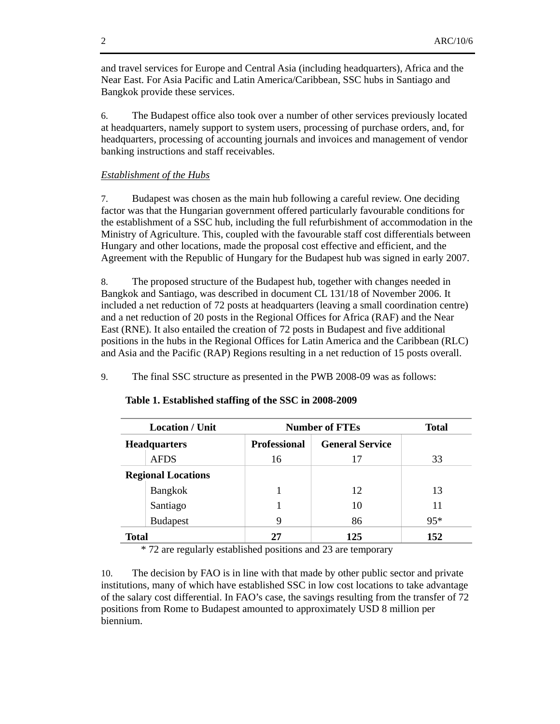and travel services for Europe and Central Asia (including headquarters), Africa and the Near East. For Asia Pacific and Latin America/Caribbean, SSC hubs in Santiago and Bangkok provide these services.

6. The Budapest office also took over a number of other services previously located at headquarters, namely support to system users, processing of purchase orders, and, for headquarters, processing of accounting journals and invoices and management of vendor banking instructions and staff receivables.

### *Establishment of the Hubs*

7. Budapest was chosen as the main hub following a careful review. One deciding factor was that the Hungarian government offered particularly favourable conditions for the establishment of a SSC hub, including the full refurbishment of accommodation in the Ministry of Agriculture. This, coupled with the favourable staff cost differentials between Hungary and other locations, made the proposal cost effective and efficient, and the Agreement with the Republic of Hungary for the Budapest hub was signed in early 2007.

8. The proposed structure of the Budapest hub, together with changes needed in Bangkok and Santiago, was described in document CL 131/18 of November 2006. It included a net reduction of 72 posts at headquarters (leaving a small coordination centre) and a net reduction of 20 posts in the Regional Offices for Africa (RAF) and the Near East (RNE). It also entailed the creation of 72 posts in Budapest and five additional positions in the hubs in the Regional Offices for Latin America and the Caribbean (RLC) and Asia and the Pacific (RAP) Regions resulting in a net reduction of 15 posts overall.

9. The final SSC structure as presented in the PWB 2008-09 was as follows:

| <b>Location / Unit</b>    |                 | <b>Number of FTEs</b> | <b>Total</b>           |       |
|---------------------------|-----------------|-----------------------|------------------------|-------|
| <b>Headquarters</b>       |                 | <b>Professional</b>   | <b>General Service</b> |       |
|                           | <b>AFDS</b>     | 16                    | 17                     | 33    |
| <b>Regional Locations</b> |                 |                       |                        |       |
|                           | Bangkok         |                       | 12                     | 13    |
|                           | Santiago        |                       | 10                     | 11    |
|                           | <b>Budapest</b> | 9                     | 86                     | $95*$ |
| <b>Total</b>              |                 |                       | 125                    | 152   |

#### **Table 1. Established staffing of the SSC in 2008-2009**

\* 72 are regularly established positions and 23 are temporary

10. The decision by FAO is in line with that made by other public sector and private institutions, many of which have established SSC in low cost locations to take advantage of the salary cost differential. In FAO's case, the savings resulting from the transfer of 72 positions from Rome to Budapest amounted to approximately USD 8 million per biennium.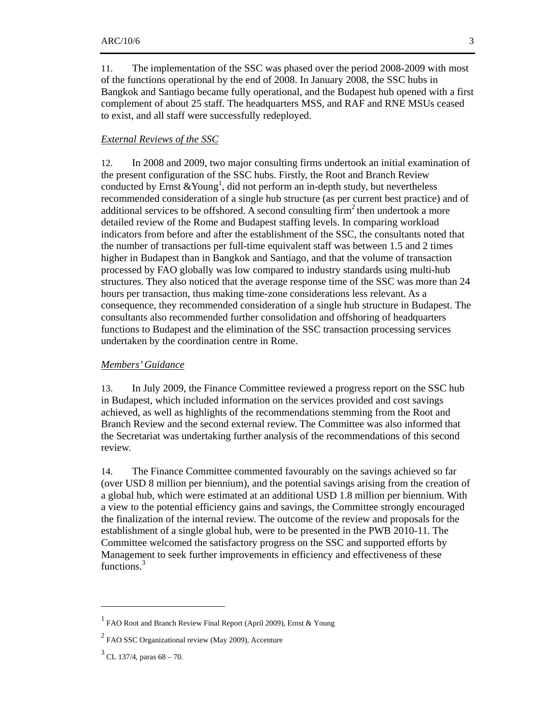11. The implementation of the SSC was phased over the period 2008-2009 with most of the functions operational by the end of 2008. In January 2008, the SSC hubs in Bangkok and Santiago became fully operational, and the Budapest hub opened with a first complement of about 25 staff. The headquarters MSS, and RAF and RNE MSUs ceased to exist, and all staff were successfully redeployed.

### *External Reviews of the SSC*

12. In 2008 and 2009, two major consulting firms undertook an initial examination of the present configuration of the SSC hubs. Firstly, the Root and Branch Review conducted by Ernst  $&$  Young<sup>1</sup>, did not perform an in-depth study, but nevertheless recommended consideration of a single hub structure (as per current best practice) and of additional services to be offshored. A second consulting  $\lim^2$  then undertook a more detailed review of the Rome and Budapest staffing levels. In comparing workload indicators from before and after the establishment of the SSC, the consultants noted that the number of transactions per full-time equivalent staff was between 1.5 and 2 times higher in Budapest than in Bangkok and Santiago, and that the volume of transaction processed by FAO globally was low compared to industry standards using multi-hub structures. They also noticed that the average response time of the SSC was more than 24 hours per transaction, thus making time-zone considerations less relevant. As a consequence, they recommended consideration of a single hub structure in Budapest. The consultants also recommended further consolidation and offshoring of headquarters functions to Budapest and the elimination of the SSC transaction processing services undertaken by the coordination centre in Rome.

### *Members' Guidance*

13. In July 2009, the Finance Committee reviewed a progress report on the SSC hub in Budapest, which included information on the services provided and cost savings achieved, as well as highlights of the recommendations stemming from the Root and Branch Review and the second external review. The Committee was also informed that the Secretariat was undertaking further analysis of the recommendations of this second review.

14. The Finance Committee commented favourably on the savings achieved so far (over USD 8 million per biennium), and the potential savings arising from the creation of a global hub, which were estimated at an additional USD 1.8 million per biennium. With a view to the potential efficiency gains and savings, the Committee strongly encouraged the finalization of the internal review. The outcome of the review and proposals for the establishment of a single global hub, were to be presented in the PWB 2010-11. The Committee welcomed the satisfactory progress on the SSC and supported efforts by Management to seek further improvements in efficiency and effectiveness of these functions.<sup>3</sup>

 $\overline{a}$ 

<sup>&</sup>lt;sup>1</sup> FAO Root and Branch Review Final Report (April 2009), Ernst & Young

 $2$  FAO SSC Organizational review (May 2009), Accenture

 $3$  CL 137/4, paras 68 – 70.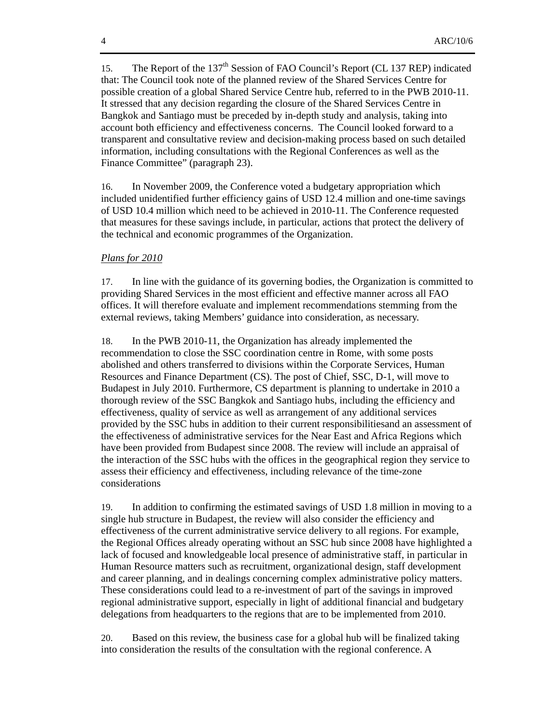15. The Report of the 137<sup>th</sup> Session of FAO Council's Report (CL 137 REP) indicated that: The Council took note of the planned review of the Shared Services Centre for possible creation of a global Shared Service Centre hub, referred to in the PWB 2010-11. It stressed that any decision regarding the closure of the Shared Services Centre in Bangkok and Santiago must be preceded by in-depth study and analysis, taking into account both efficiency and effectiveness concerns. The Council looked forward to a transparent and consultative review and decision-making process based on such detailed information, including consultations with the Regional Conferences as well as the Finance Committee" (paragraph 23).

16. In November 2009, the Conference voted a budgetary appropriation which included unidentified further efficiency gains of USD 12.4 million and one-time savings of USD 10.4 million which need to be achieved in 2010-11. The Conference requested that measures for these savings include, in particular, actions that protect the delivery of the technical and economic programmes of the Organization.

#### *Plans for 2010*

17. In line with the guidance of its governing bodies, the Organization is committed to providing Shared Services in the most efficient and effective manner across all FAO offices. It will therefore evaluate and implement recommendations stemming from the external reviews, taking Members' guidance into consideration, as necessary.

18. In the PWB 2010-11, the Organization has already implemented the recommendation to close the SSC coordination centre in Rome, with some posts abolished and others transferred to divisions within the Corporate Services, Human Resources and Finance Department (CS). The post of Chief, SSC, D-1, will move to Budapest in July 2010. Furthermore, CS department is planning to undertake in 2010 a thorough review of the SSC Bangkok and Santiago hubs, including the efficiency and effectiveness, quality of service as well as arrangement of any additional services provided by the SSC hubs in addition to their current responsibilitiesand an assessment of the effectiveness of administrative services for the Near East and Africa Regions which have been provided from Budapest since 2008. The review will include an appraisal of the interaction of the SSC hubs with the offices in the geographical region they service to assess their efficiency and effectiveness, including relevance of the time-zone considerations

19. In addition to confirming the estimated savings of USD 1.8 million in moving to a single hub structure in Budapest, the review will also consider the efficiency and effectiveness of the current administrative service delivery to all regions. For example, the Regional Offices already operating without an SSC hub since 2008 have highlighted a lack of focused and knowledgeable local presence of administrative staff, in particular in Human Resource matters such as recruitment, organizational design, staff development and career planning, and in dealings concerning complex administrative policy matters. These considerations could lead to a re-investment of part of the savings in improved regional administrative support, especially in light of additional financial and budgetary delegations from headquarters to the regions that are to be implemented from 2010.

20. Based on this review, the business case for a global hub will be finalized taking into consideration the results of the consultation with the regional conference. A